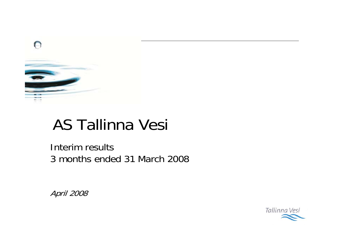

# AS Tallinna Vesi

Interim results 3 months ended 31 March 2008

April 2008

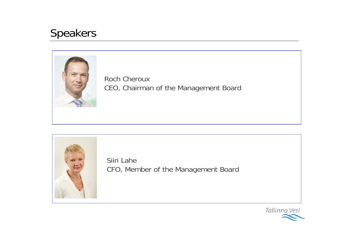#### Speakers



Roch CherouxCEO, Chairman of the Management Board



Siiri LaheCFO, Member of the Management Board

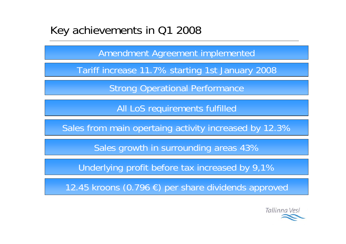#### Key achievements in Q1 2008

Amendment Agreement implemented

Tariff increase 11.7% starting 1st January 2008

Strong Operational Performance

All LoS requirements fulfilled

Sales from main opertaing activity increased by 12.3%

Sales growth in surrounding areas 43%

Underlying profit before tax increased by 9,1%

12.45 kroons (0.796 €) per share dividends approved

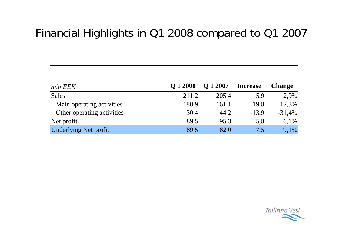# Financial Highlights in Q1 2008 compared to Q1 2007

| mln EEK                      | O 1 2008 | O 1 2007 | <b>Increase</b> | <b>Change</b> |
|------------------------------|----------|----------|-----------------|---------------|
| <b>Sales</b>                 | 211,2    | 205.4    | 5,9             | 2,9%          |
| Main operating activities    | 180,9    | 161,1    | 19.8            | 12,3%         |
| Other operating activities   | 30,4     | 44,2     | $-13.9$         | $-31,4%$      |
| Net profit                   | 89.5     | 95.3     | $-5.8$          | $-6.1\%$      |
| <b>Underlying Net profit</b> | 89,5     | 82,0     | 7,5             | 9,1%          |

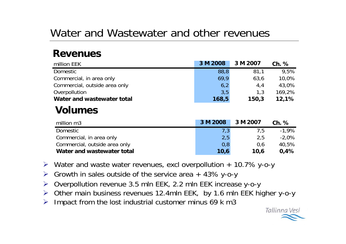# Water and Wastewater and other revenues

#### **Revenues**

| million EEK                   | 3 M 2008 | 3 M 2007 | $Ch.$ %  |
|-------------------------------|----------|----------|----------|
| Domestic                      | 88,8     | 81,1     | 9,5%     |
| Commercial, in area only      | 69,9     | 63,6     | 10,0%    |
| Commercial, outside area only | 6,2      | 4,4      | 43,0%    |
| Overpollution                 | 3,5      | 1,3      | 169,2%   |
| Water and wastewater total    | 168,5    | 150,3    | 12,1%    |
| <b>Volumes</b>                |          |          |          |
| million m3                    | 3 M 2008 | 3 M 2007 | $Ch.$ %  |
| Domestic                      | 7,3      | 7,5      | $-1,9%$  |
| Commercial, in area only      | 2,5      | 2,5      | $-2,0\%$ |
| Commercial, outside area only | 0,8      | 0,6      | 40,5%    |
| Water and wastewater total    | 10,6     | 10,6     | 0,4%     |

- ¾ Water and waste water revenues, excl overpollution + 10.7% y-o-y
- ¾Growth in sales outside of the service area  $+$  43% y-o-y
- ¾Overpollution revenue 3.5 mln EEK, 2.2 mln EEK increase y-o-y
- ¾ Other main business revenues 12.4mln EEK, by 1.6 mln EEK higher y-o-y
- ¾Impact from the lost industrial customer minus 69 k m3

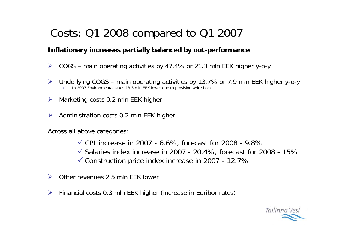### Costs: Q1 2008 compared to Q1 2007

#### **Inflationary increases partially balanced by out-performance**

- ¾COGS – main operating activities by 47.4% or 21.3 mln EEK higher y-o-y
- ¾ Underlying COGS – main operating activities by 13.7% or 7.9 mln EEK higher y-o-y  $\checkmark$ In 2007 Environmental taxes 13.3 mln EEK lower due to provision write-back
- ¾Marketing costs 0.2 mln EEK higher
- ¾Administration costs 0.2 mln EEK higher

Across all above categories:

 $\checkmark$  CPI increase in 2007 - 6.6%, forecast for 2008 - 9.8%

- $\checkmark$  Salaries index increase in 2007 20.4%, forecast for 2008 15%
- $\checkmark$  Construction price index increase in 2007 12.7%
- ¾Other revenues 2.5 mln EEK lower
- ¾Financial costs 0.3 mln EEK higher (increase in Euribor rates)

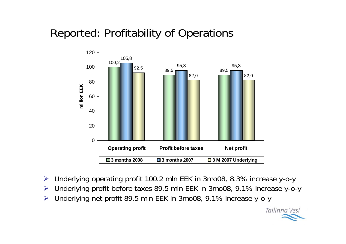# Reported: Profitability of Operations



- ¾Underlying operating profit 100.2 mln EEK in 3mo08, 8.3% increase y-o-y
- ¾Underlying profit before taxes 89.5 mln EEK in 3mo08, 9.1% increase y-o-y
- ¾Underlying net profit 89.5 mln EEK in 3mo08, 9.1% increase y-o-y

Tallinna Vesi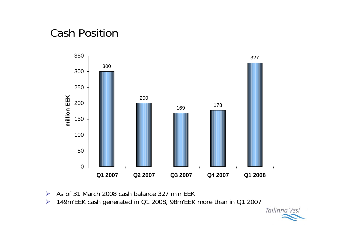## Cash Position



- As of 31 March 2008 cash balance 327 mln EEK
- 149m'EEK cash generated in Q1 2008, 98m'EEK more than in Q1 2007

Tallinna Vesi